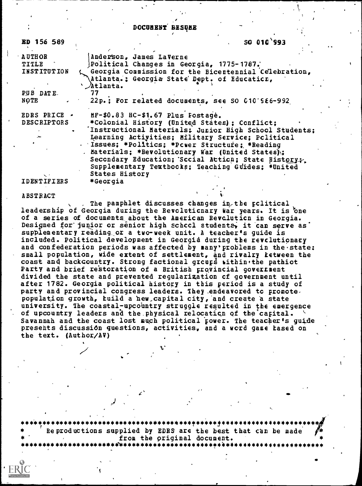DOCUMENT BESUME

| <b>ED 156 589</b>                          | SO 010 993                                                       |
|--------------------------------------------|------------------------------------------------------------------|
| <b>AUTHOR</b>                              | Anderson, James LaVerne                                          |
| TITLE                                      | Political Changes in Georgia, 1775-1787.                         |
| <b>INSTITUTION</b>                         | Georgia Commission for the Bicentennial Celebration,             |
|                                            | Atlanta.: Georgia State Dept. of Education,<br><i>' Atlanta.</i> |
| PUB DATE.                                  | 77                                                               |
| NOTE                                       | 22p.; For related documents, see SO 010'586-992                  |
| <b>EDRS PRICE <math>\rightarrow</math></b> | HF-\$0.83 HC-\$1.67 Plus Fostage.                                |
| <b>DESCRIPTORS</b>                         | *Colonial History (United States) ; Conflict;                    |
|                                            | 'Instructional Materials: Junior High School Students;           |
|                                            | Learning Activities; Military Service; Political                 |
|                                            | . Issues; *Politics; *Power Structure; *Reading                  |
|                                            | . Materials; *Revolutionary War (United States);                 |
|                                            | Secondary Education; Sccial Atticn; State History;               |
|                                            | Supplementary Textbocks; Teaching Guides; #United                |
|                                            | <b>States History</b>                                            |
| IDENTIFIERS                                | *Georgia                                                         |

**ABSTRACT** 

The pamphlet discusses changes in the political leadership of Georgia during the Revolutionary war years. It is one of a series of documents about the American Revolution in Georgia. Designed for junior or senior high schccl students, it can serve as supplementary reading or a two-week unit. A teacher's guide is included. Political development in Georgia during the revolutionary and confederation periods was affected by many' problems in the state: small population, wide extent of settlement, and rivalry ketween the coast and backcountry. Strong factional groups within the pathiot Party and brief restoration of a British provincial government divided the state and prevented reqularization of government until after 1782. Georgia political history in this period is a study of party and provincial congress leaders. They endeavored to promote. population growth, build a hew capital city, and create a state university. The coastal-upcountry struggle resulted in the emergence of upcountry leaders and the physical relocation of the capital. Savannah and the coast lost much political power. The teacher's guide presents discussion questions, activities, and a word game tased on the text. (Author/AV)

\*\*\*\*\*\*\*\*\*\*\*\*\*\*\*\*\*\*\* Reproductions supplied by EDRS are the best that can be made from the original document. \*\*\*\*\*\*\*\*\*\*\*\*\*\*\*\*\*\*\*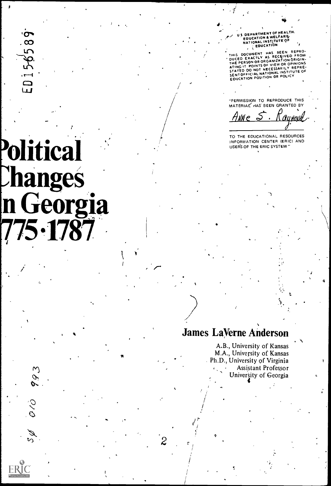$\sigma$  $\infty$ صا P

# **Political Changes** n Georgia **75 1787**

993

.<br>US DEPARTMENT OF HEALTH.<br>EDUCATION & WELFARE<br>NATIONAL INSTITUTE OF<br>COUCATION

THIS DOCUMENT HAS BEEN REPROM<br>DUCED EXACTLY AS RECEIVED FROM<br>THE PERSON OR ORGANIZATION ORIGINATION<br>ATING IT POINTS OF VIEW OR OPINIONS<br>STATED DO NOT NECESSARILY REPRE-<br>SENTOFFICIAL NATIONAL INSTITUTE OF<br>EDUCATION POSITION

"PERMISSION TO REPRODUCE THIS MATERIAL HAS BEEN GRANTED BY

ANNe S aynovid

TO THE EDUCATIONAL RESOURCES INFORMATION CENTER (ERIC) AND USERS OF THE ERIC SYSTEM"

# **James LaVerne Anderson**

A.B., University of Kansas M.A., University of Kansas Ph.D., University of Virginia Assistant Professor University of Georgia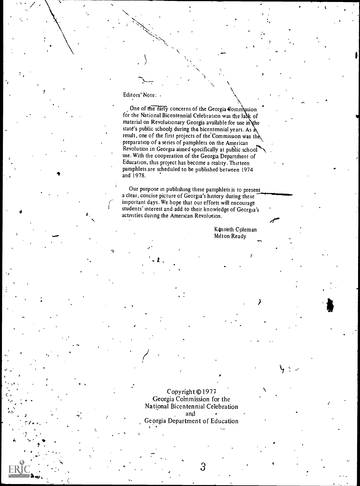#### Editors' Note:

 $\bullet$   $\bullet$ 

 $\ddot{\bullet}$  and  $\ddot{\bullet}$ 

One of the early concerns of the Georgia Commission for the National Bicentennial Celebration was the lack of material on Revolutionary Georgia available for use in the state's public schools during the bicentennial years. As  $\lambda$ result, one of the first projects of the'Commission Was th preparation of a series of pamphlets on the American Revolution in Georgia aimed specifically at public school use. With the cooperation of the Georgia Department of Education, this project has become a reality. Thirteen pamphlets are scheduled to be published between 1974 and 1978.

Our purpose in publishing these pamphlets is to present a clear, concise picture of Georgia's history during these important days. We hope that our efforts will encourage students' interest and add to their knowledge of Georgia's activities during the American Revolution.

 $\mathbf{A}$  , we have the set of  $\mathbf{A}$ 

K4nneth Coleman Milton Ready

t

Copyright ©1977 Georgia Coinmission for the National Bicentennial Celebration and Georgia Department of Education

 $\mathfrak{S}$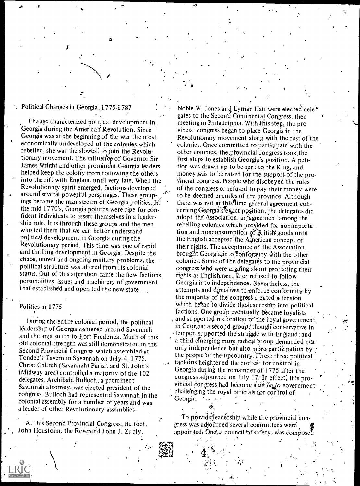## Political Changes in Georgia, 1775-1787

 $\mathfrak g$ 

..-,

.1!

Change characterized political development in Georgia during the American Revolution. Since Georgia was at the beginning of the war the most economically undeveloped of the colonies which rebelled, she was the slowest to join the Revolutionary movement. The influence of Governor Sir James Wright and other prominent Georgia leaders helped keep the colony from following the others into the rift with England until very late. When the Revolutionary spirit emerged, factions developed around several powerful personages. These groupings became the mainstream of Georgia politics. In the mid 1770's, Georgia politics were ripe for  $\varphi$ 6nfident individuals to assert themselves in a leadership role. It is through these groups and the men who led them that we can better understand political development in Georgia during the Revolutionary period. This time was one of rapid and thrilling development in Georgia. Despite the chaos, unrest and ongoing military problems, the political structure was altered from its colonial status. Out of this alteration came the new factions, personalities, issues and machinery of government that established and operated the new state.

#### Politics in 1775

During the entire colonial period, the political leadership of Georgia centered around Savannah and the area south to Fort Frederica. Much of this old colonial strength was still demonstrated in the Second Provincial Congress which assembled at Tondee's Tavern in Savannah on July 4, 1775. Christ Church (Savannah) Parish and St. John's (Midway area) controlled a majority of the  $102$ delegates. Archibald Bulloch, a prominent Savannah attorney, was elected president of the congress. Bulloch had represented Savannah jn the colonial assembly for a number of years and was a leader of othey Revolutionary assemblies.

At this Second Provincial Congress, Bulloch, John Houstoun, the Reverend John J. Zubly,

Noble W. Jones and Lythan Hall were elected dele<sup>b</sup> gates to the Secon'd Continental Congress, then meeting in Philadelphia. With.this step, the provincial congress began to place Georgia in the Revolutionary movement along with the rest of the colonies. Once committed to partiqipate with the other colonies, the provincial congress took, the first steps to establish Georgia's position. A petition was drawn up to be sent to the King, and money was to be raised for the support of the provincial congress. People who disobeyed the rules of the congress or refused to pay their money were to be deemed enemies of the province. Although there was not at this<sup>st</sup>ime general agreement concerning Georgia's lexact position, the delegates did adopt the Association, an agreement among the rebelling colonies which provided for nonimportation and nonconsumption of British goods until the English accepted the American concept of their rights. The acceptance of the Association brought Georgia, into conformity with the other colonies. Some of the delegates to the provincial congress who were arguing about protecting their rights as Englishmen, later refused to follow Georgia into independence. Nevertheless, the attempts and directives to enforce conformity by the majority of the congress created a tension which began to divide the leadership into political factions. One group eventually became loyalists and supported restoration of the royal government in Georgia; a second group, though conservative in . temper, supported the struggle with England; and a third emerging more radical group demanded not only independence but also more participation by the people of the upcountry. These three political factions heightened the contest for control in Georgia during the remainder of 1775 after the congress adjourned on July 17. In effect, this provincial congress had become a de  $face$  government challenging the royal officials for control of Georgia.

1. **1. 1. 1. 1. 1. 1. 1. 1. 1. 1.** 

To provide leadership while the provincial congress was adjourned several committees were appointed: One, a council of safety, was composed

'

 $.3 \rightarrow .$ 

A

, and the same  $\sim$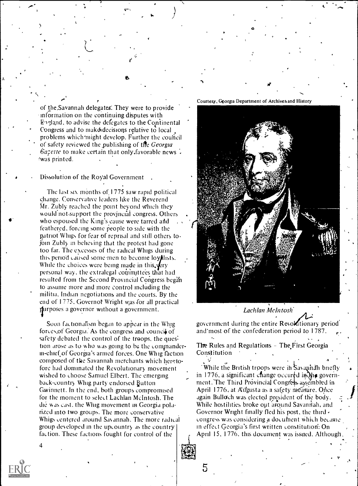of the,Savannah delegates'. They were to provide information on the continuing disputes with England, to advise the defegates to the Continental Congress and to make decisions relative to local problems which might develop. Further the council of safety reviewed the publishing of the Georgia  $\theta$ *azette* to make certain that only.favorable news. was printed.

Dissolution of the Royal Government ,

The last six months of 1775 saw rapid political change. Conservative leaders hke the Reverend Mr. Zubly reached the point beyond Which they would not-support the provincial congress. Others who espoused the King's cause were tarred and  $\sqrt{2}$ feathered, forcing sonic people to side with the piatriot Whigs for fear of reprisal and still others to. join Zubly in believing that the protest had gone too far. The excesses of the radical Whigs during this period caused some men to become loyalists. While the choices were being made in this.  $\sqrt{k}ry$ personal way, the extralegal committees that had resulted from the Second Provincial Congress began to assume more and more control including the militia, Indian negotiations and the courts. By the end of 1775, Governot Wright was for all practical jjurposes a governor without a government.

Soon factionalism began to appear in the Whig forces, of Georgia. As the congress and council of safety debated the control of the troops, the question arose as to who was going to be the commanderin-chief of Georgia's armed forces. One Whig faction composed of the Savannah merchants which heretofore had dominated the Revolutionary movement wished to choose Samuel Elbert. The emerging back-country Whig party endorsed Button Gwinnett. In the end, both groups compromised for the moment to select Lachlan McIntosh. The die was cast, the Whig movement in Georgia polarized into two groups. The more conservative Whigs centered around Savannah. The more radical group developed in the upcountry as the country faction. These factions fought for control of the

Courtesy, Georgia Department of Archives.and History

#i



#### Lachlan McIntosh.

government during the entire Revolutionary period and'most of the confederation period to I 787.

The Rules and Regulations - The First Georgia Constitution

While the British troops were in Savannah briefly  $\longrightarrow$ in 1776, a significant change occured in  $N_{\rm eff}$  government. The Third Provincial Congress assembled in  $\begin{bmatrix} 1 & 1 \end{bmatrix}$ April 1776, at Augusta as a safety measure. Once again Bulloch was elected president of the body. While hostilities broke out around Savannah, and Governor Wright finally fled his post, the third congress was considering a document which became in effect Georgia's first written Lonstitution: On April 15, 1776, this document was issued. Although

5

4

 $\bullet$  0.000  $\bullet$ 

.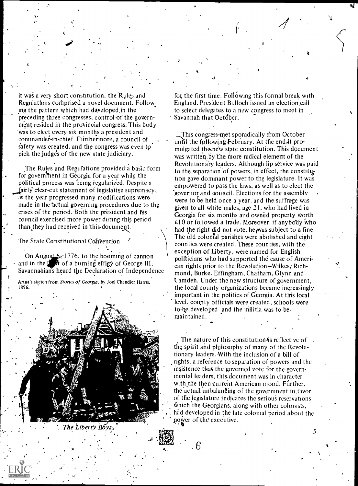it was a very short constitution, the Rules and Regulations comprised a novel document. Following the pattern which had developed in the preceding three congresses, control of the government resided in the provincial congress. This body 'was to elect every six months a president and commander-in-chief. Furthermore, a council of safety was created, and the congress was even to pick the judge's of the new state judiciary.

 $\overline{\phantom{a}}$  ,  $\overline{\phantom{a}}$  ,  $\overline{\phantom{a}}$ 

The Rules and Regulations provided a basic form for government in Georgia for a year while the political process was being regularized. Despite a fairly clear-cut statement of legislative supremacy, as the year progressed many modifications were made in the actual governing procedures due to the crises of the period. Both the president and his council exercised more power during this period than they had received in this document.

The State Constitutional Convention

On August  $6$ , 1776; to the booming of cannon and in the  $\mathbf{I}$  of a burning effigy of George III, Savannahians heard the Declaration of Independence Artist's sketch from Stories of Georgia, by Joel Chandler Harris, 1896.



The Liberty  $\overline{B} \overline{O} \overline{y}_{\overline{S} \overline{X}}$ 

. ,

for the first time. Following this formal break with England. President Bulloch issued an election,call to select delegates to a new congress to meet in Savannah that October.

S

This congress-met sporadically from October unn the following February. At the end it promulgated the new state constitution. This document was written by the more radical element of the Revolutionary leaders. Although lip service was paid to the separation of powers, in effect, the constitution gave dominant power to the legislature. It was empowered to pass the laws, as well as to elect the "governor and council. Elections for the assembly were to be held once a year. and the suffrage was given to all white males, age 21, who had lived in Georgia for six months and owned property Worth  $£10$  or followed a trade. Moreover, if anybody who had the right did not vote, he was subject to a fine. The old colonial parishes were abolished and eight counties were created. These counties, with the exception of Liberty, were named for English politicians who had supported the cause of American rights prior to the Revolution–Wilkes, Richmond, Burke, Effingham, Chatham, Glynn and Camden. Under the new structure of government, the local county organizations became increasingly important in the politics of Georgia. At this local level, county officials were created, schools were to be, developed and the militia was to bemaintained.

The nature of this constitution is reflective of the spirit and philosophy of many of the Revolutionary leaders. With the inclusion of a bill of rights, a reference to separation of powers and the insistence that the governed vote for the governmental leaders, this document was in character with the then current American mood. Further, the actual unbalanCing of the government in,favor of the legislature indicates the serious reservations 'Which the Georgians, along with other colonists, had developed in the late colonial period about the power of the executive.

5

.6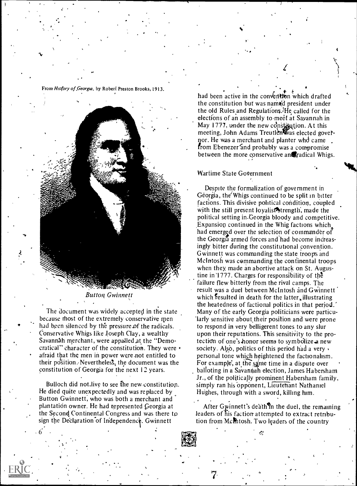From Hisfory of Georgia, by Robert Preston Brooks, 1913.

10



Button Gwinnett

The document was widely accepted in the state because thost of the extremely conservative men had been silenced by the pressure of the radicals. Conservative Whigs like Joseph Clay, a wealthy Savannah merchant, were appalled at the "Democratical" character of the constitution. They were afraid that the men in power were-not entitled to their position. Nevertheless, the document was the constitution of Georgia for the next 12 years.

Bulloch did not.live to see The new,constitution. He died quite unexpectedly and was replaced by Button Gwinnett, who was both a merchant and plantation owner. He had represented Georgia at the Second Continental Congress and was there to sign the Declaration of Independence. Gwinnett

had been active in the convention which drafted the constitution but was named president under the old Rules and Regulations.  $He$  called for the elections of an assembly to meet at Savannah in May 1777, under the new constitution. At this meeting, John Adams Treutlen was elected governor. He was a merchant and planter whd came from Ebenezer and probably was a compromise between the more conservative anteradical Whigs.

#### Wartime State Government

Despite the formalization of government in Georgia, the'Whigs continued to be split in bitter factions. This divisive political condition, coupled with the still present loyalist<sup>3</sup> trength, made the political setting in-Georgia bloody and competitive. Expansion continued in the Whig factions which had emerged over the selection of commander of the Georgia armed forces and had become increasingly bitter during the constitutional convention. Gwinnett was commanding the state troops and McIntosh was commanding the continental troops when they. made an abortive attack on St. Augustine in 1777. Charges for responsibility of the failure flew bitterly from the rival camps. The result was a duel between McIntosh and Gwinnett which resulted in death for the latter, illustrating the heatedness of factional politics in that period.' Many of the early Georgia politicians were particularly sensitive about their position and were prone to respond in very belligerent tones to any slur upon their reputations. This sensitivity to the protection of one's honor seems to symbolize a new society. Also, politics of this period had a very personal tone which heightened the factionalism. For example, at the same time in a dispute over balloting in a Savannah election, James Habersham Jr., of the politically prominent Habersham family, simply ran his 'opponent, Lieutenant Nathaniel Hughes, through with a sword, killing him.

After Gwinnett's death $\mathcal{R}_n$  the duel, the remaining leaders of his faction attempted to extract retribution from Mcmtosh. Two leaders of the country

 $\ddot{\mathbf{c}}$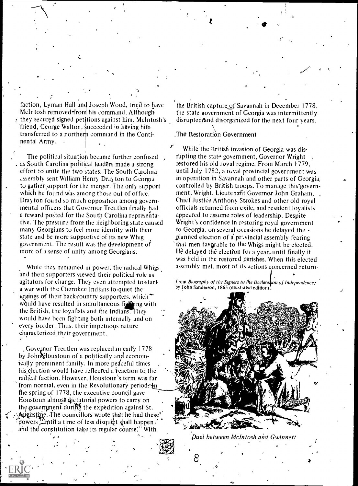faction, Lyman Hall and Joseph Wood, tried to have MeIntosh removed from his command. Although  $\cdot$  they secured signed petitions against him, McIntosh's friend, George Walton, succeeded in having him transferred to a northern command in the Continental Army.

The political situation became further confused as South Carolina political leaders made a strong effort to unite the two states. The South Carolina assembly sent William Henry Drayton to Georgia to gather support for the merger. The only support which he found was among those out of office. Dray ton found so much opposition among governmental officers that Governor Treutlen finally had a reward posted for the South Carolina representative. The pressure from the neighboring state caused many Georgians to feel more identity with their state and be more supportive of its new Whig government. The result was the development of more of a sense of unity among Georgians.

While they remained in power, the radical Whigs and their supporters viewed their political role as agitators for change. They even attempted to start a war with the Cherokee Indians to quiet the wrgings of their back country supporters, which.\*\* would have resulted in simultaneous figuring with the British, the loyalists and the Indians. They would have been fighting both internally and on every border. Thus, their impetuous nature characterized their government.

Governor Treutlen was replaced in early 1778 by John Houstoun of a politically and economically prominent family. In more peaceful times his election would have reflected a reaction to the radical faction. However, Houstoun's term was far from normal, even in the Revolutionary period. In the spring of 1778, the executive council gave Houstoun almost dictatorial powers to carry on the government during the expedition against St. Augustine. The councillors wrote that he had these' powers Limtil a time of less disquict shall happen. and the constitution take its regular course." With

the British capture of Savannah in December 1778, the state government of Georgia was intermittently disrupted/and disorganized for the next four years.

The Restoration Government

While the British invasion of Georgia was disrupting the state government, Governor Wright restored his old royal regime. From March 1779, until July 1782, a royal provincial government was in operation in Savannah and other parts of Georgia. controlled by British troops. To manage this government, Wright, Lieutenant Governor John Graham, Chief Justice Anthony Strokes and other old royal officials returned from exile, and resident loyalists appeared to assume roles of leadership. Despite Wright's confidence in restoring royal government to Georgia, on several occasions he delayed the planned election of a provincial assembly fearing that men favorable to the Whigs might be elected. He delayed the election for a year, until finally it was held in the restored parishes. When this elected assembly met, most of its actions concerned return-

From Biography of the Signers to the Declaration of Independence, by John Sanderson, 1865 (illustrated edition)



Duel between McIntosh and Gwinnett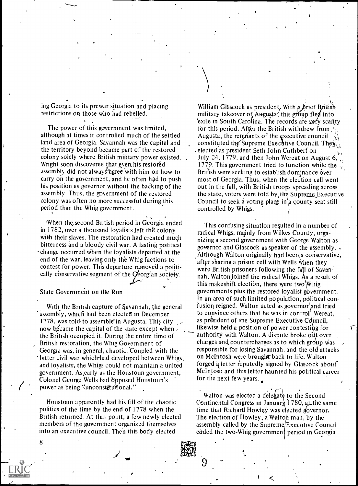ing Georgia to its prewar situation and placing restrictions on those who had rebelled.

The power of this government was limited, although at times it controlled much of the settled land area of Georgia. Savannah was the capital and the territory beyond became part of the restored colony solely where British military power existed. Wright soon discovered that even his restored assembly did not always<sup>2</sup> agree with him on how to carry on the government, and he often had to push his position as governor without the backing of the assembly. Thus, the government of the restored colony was often no more successful during this period than the Whig government.

When the, second British period in Georgia ended in 1782, over a thousand loyalists left the colony with their slaves. The restoration had created much bitterness and a bloody civil war. A lasting political change occurred when the loyalists departed at the end of the war, leaving only the Whig factions to contest for power. This departure removed a politically conservative segment of the Georgian society.

State Government on the Run

With the British capture of Savannah, the general assembly, which had been elected in December 1778, was told to assemble in Augusta. This city now became the capital of the state except when the British occupied it. During the entire time of British restoration, the Whig Government of Georgia was, in general, chaotic. Coupled with the bitter civil war which-had developed between Whigs, and loyalists, the Whigs could not maintain a united government. As early as the Houstoun government, Colonel George Wells had opposed Houstoun's power as being "unconstitutional."

Houstoun apparently had his fill of the chaotic politics of the time by the end of 1778 when the British returned. At that point, a few newly elected members of the government organized themselves into an executive council. Then this body elected

 $\alpha_{\rm c}$  and  $\beta_{\rm c}$ William Glascock as president. With a brief British military takeover of Augusta, this group fled into exile in South Carolina. The records are very scanty for this period. After the British withdrew from Augusta, the remnants of the executive council constituted the Supreme Executive Council. They, . elected as president Seth John Cuthberf on July 24, 1779, and then John Wereat on August 6, 1779. This government tried to function while the British were seeking to establish dominance over most of Georgia. Thus, when the election call went out in the fall, wifh British troops spreading across the state, voters were told by  $t$ the Supreme Executive Council to seek a voting place in a county seat still controlled by Whigs.

This confusing situation requited in a number of radical Whigs, mainly from Wilkes County, organizing a second government with George Walton as governor and Glascock as speaker of the assembly. . Although Walton originally had been a conservative, after sharing a prison cell with Wells when they were British prisoners following the fall of Savannah, Walton joined the radical Whigs. As a result of this makeshift election, there were two Whig governments plus the restored loyalist government. In an area of such limited population, political confusion reigned. Walton acted as governor and tried to convince others that he was in control. Wereat, as president of the Supreme Executive Council. likewise held a position of power contesting for authority with Walton. A dispute broke out over charges and countercharges as to which group was responsible for losing Savannah, and the old attacks on McIntosh were brought back to life. Walton forged a letter reputedly signed by Glascock about McIntosh and this letter haunted his political career for the next few years.

Walton was elected a delegate to the Second Continental Congress in January 1780, at the same time that Richard Howley was elected governor. The election of Howley, a Walton man, by the assembly called by the Supreme Executive Council ended the two-Whig government period in Georgia

 $\overline{\phantom{a}}$ 

8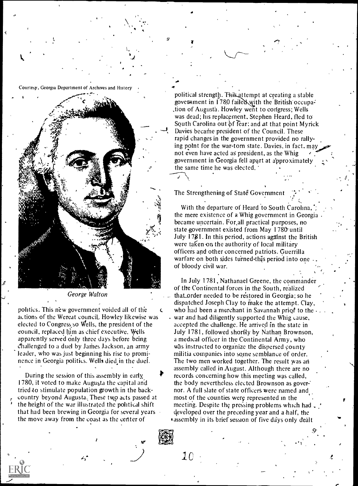Courtesy, Georgia Department of Archives and History



George Walton

politics. This new government voided all of the  $\epsilon$ actions of the Wereat council,. Howley likewise was elected to Congress. so Wells, the president of the council, replaced him as chief executive. Wells apparently served only three days before being challenged to a duel by James Jackson, an army leader, who was just beginning his rise to prominence in Georgia politics. Wells died,in the duel.

During the session of this assembly in early, 1780, it voted to make Augusta the capital and tried to stimulate population growth in the back- , country beyond Augusta.. These tw,9 acts passed at the height of the war illustrated the political shift that had been brewing in Georgia for several years the move away from the coast as the center of

'

political strength. This attempt at creating a stable goverament in  $1780$  failed with the British occupation of Augusta. Howley went to congress; Wells was dead; his replacement, Stephen Heard, fled to South Carolina out  $\delta f$  fear; and at that point Myrick Davies becarine president of the Council. These rapid changes in the government provided no rallying point for the war-torn state. Davies, in fact, may not even have acted aS president, as the Whig government in Georgia fell apart at approximately the same time he was elected.

The Strengthening of State Government

 $\bullet$   $\bullet$   $\bullet$ 

 $1<sub>0</sub>$ 

With the departure of Heard to South Carolina, the mere existence of a Whig government in Georgia . became uncertain. For.all practical purposes, no state-government existed from May 1780' until July 17\$1. In this period, actions against the British were taken on the authority of local military officers and other concerned patriots. Guerrilla warfare on both sides turned this period into one of bloody civil war.

In July 1781, Nathanael Greene, the commander of the Continental forces in the South, realized that order needed to be restored in Georgia; so he dispatched Joseph Clay to make the attempt. Clay, who had been a merchant in Savannah priqf to the . . war and had diligently supported the Whig cause, accepted the challenge. He arrived in the state in July 1781, followed shortly by Nathan Brownson, a medical officer in the Continental Army, who Was instructed to organize the dispersed county militia companies into some semblance of order. The two men worked together. The result was an assembly called in August. Although there are no records concerning how this meeting was called, the body nevertheless elected Brownson as gover: nor. A full slate of state officers were named and most of the counties were represented in the meeting. Despite the pressing problems which had developed over the preceding year and a half, the \*assembly in its brief session of five days only dealt

.9'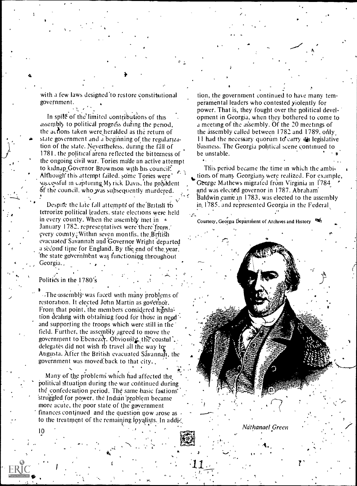with a few laws designed to restore constitutional government.

In spile of the limited contributions of this assembly to political progress during the period. the actions taken were heralded as the return of state government and a beginning of the regularization of the state. Nevertheless, during the fall of 1781, the political arena reflected the bitterness of the ongoing civil war. Tories ma'de an active attempt<br>to kidnap Governor Brownson with his council. Although this attempt failed, some Tories were' successful in capturing My rick Davis, the président of the council, who was subsequently murdered.

Despite the late fall attempts of the British to terrorize political leaders, state elections were held in every county. When the assembly met in  $\rightarrow$ January 1782, representatives were there from. every county. Within seven months, the Brftish evacuated' Savannah and Governor Wright departed a second time for England. By the end of the year, the state governinent was functioning throughout Georgia., .

#### Politics in the 1780's

10

 $\Delta$ 

ffi

The assembly was faced with many problems of restoration. It elected John Martin as governor. From that point, the members considered regislation dealing with obtaining food for those in need and supporting the troops which were still in the field. Further, the assembly agreed to move the government to Ebenezer. Obviously, the coastal. delegates did not wish to travel all the way for Augusta. After the British evacuated Savannah, the government was moved:back to that city. ,

,

.11

Many of the problems which had affected the political situation during the war continued during the confederation period. The same basic factions' 'struggled for power, the Indiab 'problem became more acute, the poor state of the goyernment finances continued and the question now arose as  $\theta$ to the treatment of the remaining loyalists. In addi-

tion, the government continued to have many temperamental leaders who contested yiolently for power. That is, they fought over the political development in Georgia, when they bothered to come to a meeting of the assembly. Of the 20 meetings of the assembly called between  $1782$  and  $1789$ , only  $11$  had the necessary quorum to carry  $\frac{1}{2}$  legislative business. The Georgia political scene continued to be unstable.

. n

This period became the time in which the ambi, tions of many Georgians were realized. For example, George Mathews migrated from Virginia in 1784 and was elected governor in 1787. Abraham' Baldwin came in 1783, was elected to the assembly in. 1785, and represented Georgia in the Federal

Courtesy, Georgia Department of Archives and History

Ndthanael Green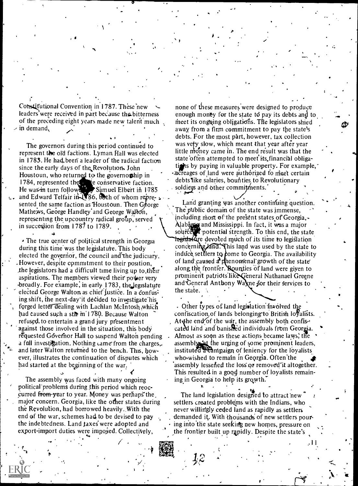Constitutional Convention in 1787. These new leaders' were received in part because the bitterness of the preceding eight years made new talent much in demand,

 $\mathfrak{u}$ . and E The governors during this period continued to represent the old factions. Lyman Hall was elected in 1783. He had been a leader of the radical faction since the early days of the Revolution. John Houstoun, who returned to the governothip in 1784, represented the  $\sim$  te conservative faction. He was-in turn follows Samuel Elbert in 1785 and Edward Telfair in  $\sqrt{86}$ , both of whom represented the same faction as Houstoun. Then  $G\acute{e}$ orge Mathews, George Handley' and George Wallon, representing the upcountry radical group, served in succession from 178/ to 1789.

 $\cdot$  The true center of political strength in Georgia during this time was the legislature. This body elected the governor, the council and-the judiciary. .However, despite commitment to their position, ,the legislators had a difficult time living up to.thEir aspirations. The members viewed their power very 'broadly. For example; in early 1783, thejegislature elected George Walton as chief justice. In a confusing shift, the next day it decided to investigate his. forged letter dealing with Lachlan McIntosh which had caused such a stir in 1780. Because Walton refused, to entertain a grand jury presentment against those involved in the situation, this body requested Governor Hall to suspend Walton pending a full investi填ation. Nothing came from the charges,. and later Walton returned to the bench. This, however, illustrates the continuation of disputes which had started at the beginning of the war:

The assembly was faced with many ongoing political'problems during this period which reoccurred from-year to year. Money was perhaps the major concern. Georgia, like the other states during the Revolution, had borrowed heavily.,With the end of the war, schemes had to be devised to pay the indebtedness. Land taxes were adopted and export-import duties were impojed. Collectively,

'

none of these measures were designed to produce enough money for the state td pay its debts and to meet its ongoing obligations. The legislators shied away from a firm commitment to pay the state's debts. For the most part, however, tax collection was vefy slow, which meant that year after year little money came in. The end result was that the state often attempted to meet its financial obligatights by paying in valuable property. For example, acreages of land were authorized to meet certain debts like salaries, bounties to Revolutionary soldiers and other commitments.

Land granting was another continuing question. The pUblic domain of the state was immense, including most of the present states of Georgia,- Alabaria and Mississippi. In fact, it was a major source T potential strength. To this end, the state togistature devoted much of its time to legislation concerning land. This land was used by the state to induce settlers to come to Georgia. The availability of land caused  $\mathbf{d}$  the nomenal growth of the state along the frontier. Bounties of land were given to prominent patriots like General Nathanael Greene and General Anthony Wa ne for their services to the state.

. Other types of land legislation involved the confiscation, of lands belonging-to British loyalists. At the end of the war, the assembly both confiscated land and banished individuals from Georgia. Almost as soon as these actions became laws, the assembly it the urging of some prominent leaders, instituted a campaign of leniency for the loyalists who wished to remain in Georgia. Often the assembly lessened the loss or removed it altogether. This resulted in a good number of loyalists remaining in Georgia to help its growth.'

.

.

The land legislation designed to attract new settlers created problems with the Indians, who never willingly ceded land as rapidly as settlers demanded it. With thousands' of new settlers pouring into the state seeking new homes, pressure on the frontier built up rapidly. Despite the state's

 $\mathcal{A}1$   $\mathcal{A}2$ 

 $\mathbf{v} \cdot \mathbf{v}$ 

1

 $12 \rightarrow$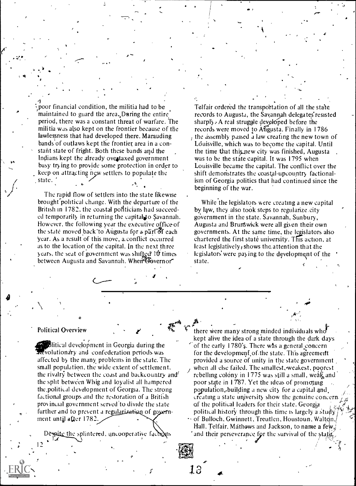$\frac{1}{2}$  $\zeta$  poor financial condition, the militia had to be  $\zeta$ maintained to guard the area. During the entire period, there was a constant threat of warfare. The militia was also kept on the frontier because of the lawlessness that had developed there. Marauding bands of outlaws kept the frontier area in a constant state of fright. Both these bands and the Indians kept the already overtaxed government busy try ing to provide some protection in order to keep on attracting new settlers to populate the state.

The rapid flow of settlers into the state likewise brought-political change. With the departure of the British in 1782, the coastal politicians had succeeded temporarily in returning the capital to Savannah. However, the following year the executive office of the state moved back to Augusta for a part of each year. As a result of this move, a. conflict occurred as to the location of the capital. In the next three years, the seat of government was shifted 10 times between Augusta and Savannah. When Governor

 $J_{\text{max}}$ 

 $\mathbf{r}$   $\mathbf{r}$   $\mathbf{r}$ 

13

Telfair ordered the transportation of all the state records to Augusta, the Savannah delegates resisted sharply A real struggle developed before the records were moved to Atigusta. Finally in 1786 the assembly passed a law creafing the new town of Lduisville, which was to become the capital. Until the time that this new city was finished, Augusta  $\overline{\phantom{a}}$ . was to be the state capital. It was 1795 when Louisville became the capital. The conflict over the shift demonstrates the coastal-upcountry factionalism of Georgia politics that had continued since the beginning of the war.

.

While the legislators were creating a new capital by law, they also took steps to regularize.city gOvernment in the state. Savannah, Sunbury, Augusta and Brintwick were all given their own governments. At the same time, the legislators also chartered the first state university. This action, at least legislatively; shows the, attention that the legislators' were paying to the development of the state.

#### Political Overview

12

**I** Alberta

development in Georgia during the olutionary and confederation periods was affected by the many problems in the state. The small population, the wide extent of settlement, the rivalry between the coast and backcountry and  $\theta$ the split between Whig and loyalist all hampered the ,political development of Georgia. The strong fictional groups and the restoration of a British prov inual government served'to divide the state further and to prevent a regularization of government until after 1782.

Despite the splintered, uncooperative factrons

there were many strong minded individuals who kept alive the idea of a state through the dark days of the early 1780's. There was a general concern for the development of the state. This agreement provided a source of unity in the state government when all else failed. The smallest, weakest, poorest rebelling colony in 1775 was still a small, weak and poor state in 1787. Yet the ideas of promoting population, building a new city for a capital and. Lreating a state university show the genuine concern. of the political leaders for their state. Georgia political history through this time is largely a study  $\cdot$  of Bulloch, Gwinnett, Treutlen, Houstoun, Walton, Hall, Telfair, Mathews and Jackson, to name a few,

and their perseverance for the survival of the stat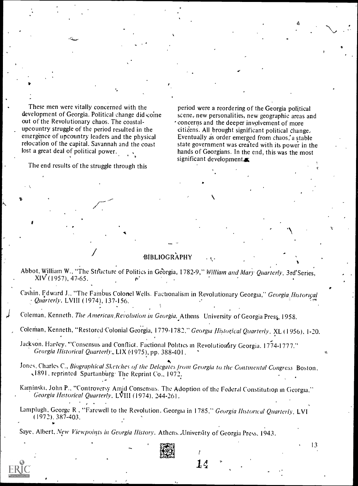These men were vitally concerned with the development of Georgia. Political change did coine out of the Revolutionary chaos. The coastalupcountry struggle of the period resulted in the emergence of upcountry leaders and the physical relocation of the capital. Savannah and the coast lost a great deal of political power.

The end results of the struggle through this

period were a reordering of the Georgia political scene, new personalities, new geographic areas and concerns and the deeper involvement of more citizens. All brought significant political change. Eventually as order emerged from chaos, a stable state government was created with its power in the hands of Georgians. In the end, this was the most significant development $\blacksquare$ 

#### BIBLIOGRAPHY

Abbot, William W., "The Structure of Politics in Georgia, 1782-9," William and Mary Quarterly, 3rd'Series, XIV (1957), 47-65.

Cashin, Edward J., "The Fambus Colonel Wells. Factionalism in Revolutionary Georgia," Georgia Historical Quarterly, LVIII (1974), 137-156.

Coleman, Kenneth, The American Revolution in Georgia. Athens University of Georgia Press, 1958.

Coleman, Kenneth, "Restored Colonial Georgia, 1779-1782," Georgia Historical Quarterly, XL (1956), 1-20.

- Jackson. Harvey, "Consensus and Conflict. Factional Politics in Revolutionary Georgia. 1774-1777." Georgia Historical Quarterly., LIX (4975), pp. 388-401.
- Jones, Charles C., Biographical Sketches of the Delegates from Georgia to the Continental Congress Boston, 1891, reprinted Spartanburg. The Reprint Co., 1972.
- Kaminski, John P., "Controversy Amid Consensus. The Adoption of the Federal Constitution in Georgia," Georgia Historical Quarterly, LVIII (1974), 244-261.
- Lamplugh, George R, "Farewell to the Revolution. Georgia in 1785," Georgia Historical Quarterly, LVI (1972). 387-403.

 $14$  .

13

Saye, Albert, New Viewpoints in Georgia History. Athens. University of Georgia Press, 1943.

 $\sigma_{\rm c}$  -  $\sigma_{\rm c}$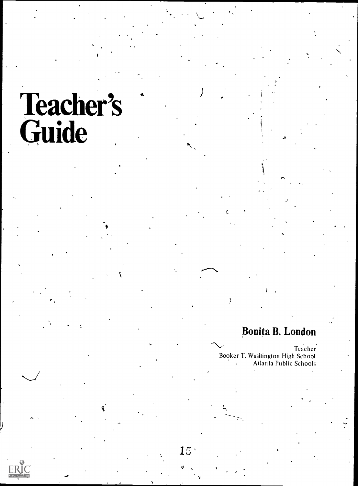# Teacher's Guide Reserve du Service de la Communication de la Communication de la Communication de la Communication de la

**I** and the second second  $\mathbf{I}$ 

# Bonita B. London

 $\checkmark$ 

Teacher Booker T. Washington High School Atlanta Public Schools

 $\mathcal{E}$ 

 $15<sup>5</sup>$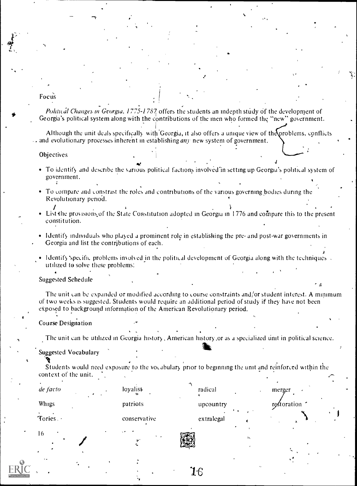#### Focus

 $\tau$ 

Political Changes in Georgia, 1775-1787 offers the students an indepth study of the development of Georgia's political system along with the contributions of the men who formed the "new" government.

2

.1

Although the unit deals specifically with Georgia, it also offers a unique view of the problems, conflicts . and evolutionary processes inherent in establishing *any* new system of government.

#### **Objectives**

- To identify and describe the various political factions involved in setting up Georgia's political system of government.
- To Lompare and Lonstrast the roles and contributions of the various governing bodies during the Revolutionary period.
- List the provisions of the State Constitution adopted in Georgia in 1776 and compare this to the present constitution.
- Identify individuals who played a prominent role in establishing the pre- and post-war governments in Georgia and list the contributions of each.
- Identify specific problems involved in the political development of Georgia along with the techniques. utilized to solve these problems:

Suggested Schedule

The unit can be expanded or modified according to course constraints and/or student interest. A minimum of two weeks is suggested. Students would require an additional period of study if they have not been exposed to background information of the American Revolutionary period.

#### Course Designation

The unit can be utilized in Georgia history , American history.or as a specialized unit in political science.

#### Suggested Vocabulary

Students would need exposure to the vocabulary prior to beginning the unit and reinforced within the context of the unit.

1.6

| de facto  | loyalist                                       | radical    | merger        |
|-----------|------------------------------------------------|------------|---------------|
| Whigs     | patriots                                       | upcountry  | restoration - |
| Tories. . | conservative                                   | extralegal | А             |
| 16<br>٠   | $\sim$ $\bullet$<br>$\ddot{\phantom{1}}$<br>v. |            | 钛             |
|           |                                                |            |               |

 $\sqrt{2}$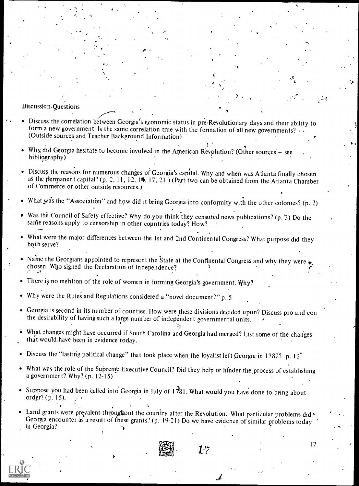#### Discussion<sub>-Questions</sub>

11.12.12.12

- Discuss the correlation between Georgia's economic status in pre-Revolutionary days and their ability to form a new government. Is the same correlation true with the formation of all new governments?  $\cdots$  (Outside sources and Teacher Background Information)
- Why did Georgia hesitate to become involved in the American Revolution? (Other sources see bibliography)
- Discuss the reasons for numerous changes of Georgia's capital. Why and when was Atlanta finally chosen as the permanent capital<sup>2</sup> (p. 2, 11, 12, 1<sup>th</sup>, 17, 21.) (Part two can be obtained from the Atlanta Chamber of Commerce or other outside resources.)
- What was the "Association" and how did it bring Georgia into conformity with the other colonies? (p. 2)
- Was the Council of Safety effective? Why do you think they censored news publications? (p. 3) Do the same reasons apply to censorship in other countries today? How?
- What were the major differences between the 1st and 2nd Continental Congress? What purpose did they both serve?
- Name the Georgians appointed to represent the State at the Continental Congress and why they were chosen. Who signed the Declaration of Independence?
- There is no mention of the role of women in forming Georgia's government. Why?
- Why were the Rules and Regulations considered a "novel document?" p. 5
- Georgia is second in its number of counties. How were these divisions decided upon? Discuss pro and con the desirability of having such a large number of independent governmental units.
- What changes might have occurred if South Carolina and Georgia had merged? List some of the changes that would.have been in evidence today.
- Discuss the "lasting political change" that took place when the loyalist left Georgia in 1782? p. 12<sup>o</sup>
- What was the role of the Supreme Executive Council? Did they help or hinder the process of establishing a government? Why? (p. 12-15)
- Suppose you had been called into Georgia in July of  $1\frac{1}{281}$ . What would you have done to bring about order? (p. 15).
- Land grants were prevalent throughout the country after the Revolution. What particular problems did ' Georgia encounter as a result of hese grants? (p. 19-21) Do we have evidence of similar problems today in Georgia?

1

 $\boldsymbol{\beta}$ 

17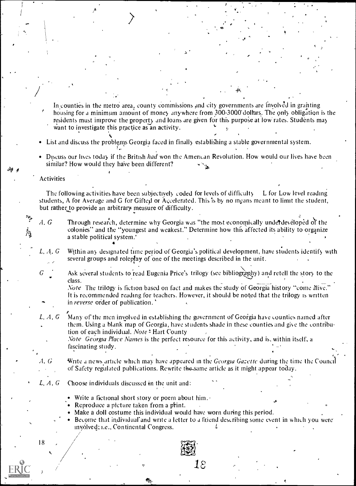In counties in the metro area, county commissions and city governments are involved in granting housing for a minimum amount of money anywhere from 300-3000 dollars. The only obligation is the residents must improve the property and loans are given for this purpose at low' rates. Students may want to investigate this practice as an activity.

 $\cdot$  .

 $\bullet$  . The contract of the contract of the contract of the contract of the contract of the contract of the contract of the contract of the contract of the contract of the contract of the contract of the contract of the co

.-

4

)

.

, <sup>0</sup>

- List and discuss the problenis Georgia faced in finally establisling a stable governmental system.
- Discuss our lives today if the British had won the American Revolution. How would our lives have been similar? How would they have been different?

#### Activities

The following activities have been subjectively coded for levels of difficulty L for Low level reading students, A for Average and G for Gifted or Accelerated. This is by no means meant to limit the student, but rather to provide an arbitrary measure of difficulty.

茂

A,  $G$  Through research, determine why Georgia was "the most economically underdeveloped of the colonies" and the "youngest and weakest." Determine how this affected its ability to organize a stable political system:

L,  $A, G$  Within any designated time period of Georgia's political development, have students identify with several groups and roleplay of one of the meetings described in the unit.

 $G$  Ask several students to read Eugenia Price's trilogy (see bibliography) and retell the story to the class. ' . .

Note The trilogy is fiction based on fact and makes the study of Georgia history "come alive." It is recommended reading for teachers. However, it should be noted that the trilogy is written in reverse order of publication.

L,  $A, G$  Many of the men involved in establishing the government of Georgia have counties named after them. Using a blank map of Georgia, have students shade in these counties and give the contribution of each individual. Note: Hart County

Note Georgia Place Names is the perfect resource for this activity, and is, within itself, a fascinating study.

A,  $G$  Write a news article which may have appeared in the Georgia Gazette during the time the Council of Safety regulated publications. Rewrite the same article as it might appear today.

#### L,  $A, G$  Choose individuals discussed in the unit and:

 $\mathbf{I} = \{I_1, \ldots, I_n\}$ 

- Write a fictional short story or poem about him.
- Reproduce a picture taken from a print.
- Make a doll costume this individual would have worn during this period.
- Become that individual and write a letter to a friend describing some event in which you were invólved; i.e., Continental Congress.

 $18\,$ 

 $18$  ,  $\bigvee$   $\bigvee$   $\bigvee$ k

/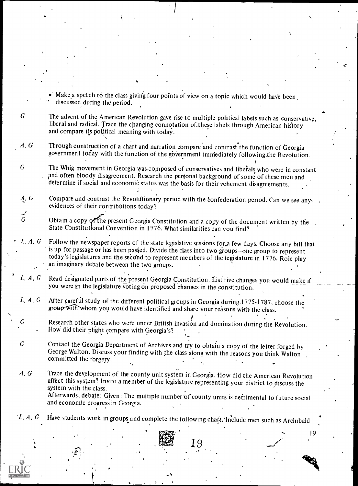Make a speech to the class giving four points of view on a topic which would have been discussed during the period.

I

- $G$  The advent of the American Revolution gave rise to multiple political labels such as conservative, liberal and radical. Trace the changing connotation of.these labels through American hislory and compare its political meaning with today.
- A,  $G$  Through construction of a chart and narration compare and contrast the function of Georgia government today with the function of the government immediately following the Revolution.
- $G$  The Whig movement in Georgia was composed of conservatives and liberals who were in constant and often bloody disagreement. Research the personal background of some of these men and determine if social and economic status was the basis for their vehement disagreements.

G Compare and contrast the Revolutionary period with the confederation period. Can we see any  $\sqrt{2}$ , evidences of their contributions today?

G Obtain a copy of the present Georgia Constitution and a copy of the document written by the State Constitutional Convention in 1776. What similarities can you find?

L,  $A$ ,  $G$  Follow the newspaper reports of the state legislative sessions for, a few days. Choose any bill that is up for passage or has been passed. Divide the class into two groups-one group to represent today's legislatures and the second to represent members of the legislature in 1776. Role play an imaginary debate between the two groups.

- L, A, G Read designated parts of the present Georgia Constitution. List five changes you would make if you were in the legislature voting on proposed changes in the constitution.
- L, A, G After careful study of the different political groups in Georgia during 1775-1787, choose the group with whom you would have identified and share your reasons with the class.
	- Research other states who were under British invasion and domination during the Revolution. How did their plight compare with Georgia's?
- $G$  Contact the Georgia Department of Archives and try to obtain a copy of the letter forged by George Walton. Discuss your finding with the class along with the reasons you think Walton , committed the forgery.

A, G Trace the development of the county unit system in Georgia. How did the American Revolution affect this system? Invite a member of the legislature representing your district to discuss the system with the class. Afterwards, debate: Given: The multiple number of county units is detrimental to future social

and economic progress in Georgia.

19

 $1, A, G$  Have students work in groups and complete the following chart. Include men such as Archibald

 $\mathbf{f}_t = \mathbf{f}_t + \mathbf{f}_t$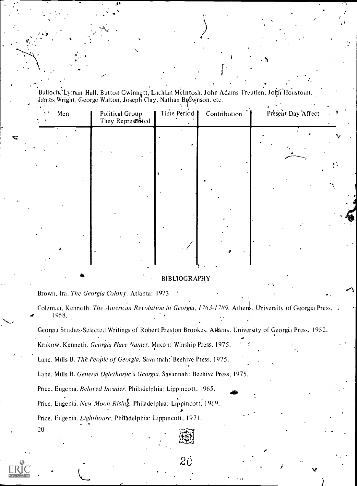Bulloch, Lyman Hall, Button Gwinngtt, Lachlan McIntosh, John Adams Treutlen, John Houstoun James Wright, George Walton, Joseph Clay, Nathan Brownson, etc.

| $\sim$    | Men       | Political Group<br>They Represented | Time Period | Contribution | Present Day Affect | $\rightarrow$ |
|-----------|-----------|-------------------------------------|-------------|--------------|--------------------|---------------|
|           |           |                                     |             |              |                    |               |
| $\bullet$ |           |                                     |             |              |                    |               |
|           |           |                                     |             |              |                    |               |
|           |           |                                     |             |              |                    |               |
|           | $\bullet$ |                                     |             |              |                    |               |

### **BIBLIOGRAPHY**

Brown, Ira. The Georgia Colony. Atlanta: 1973 .

Coleman, Kenneth. The American Revolution in Georgia, 1763-1789. Athens. University of Georgia Press 1958.

Georgia Studies-Selected Writings of Robert Preston Brookes, Attens. University of Georgia Press, 1952.

2Ċ

Krakow, Kenneth. Georgia Place Names. Macon: Winship Press, 1975.

Lane, Mills B. The People of Georgia. Savannah: Beehive Press, 1975.

Lane, Mills B. General Oglethorpe's Georgia. Savannah: Beehive Press, 1975.

Price, Eugenia. Beloved Invader. Philadelphia: Lippincott, 1965.

Price, Eugenia. New Moon Rising. Philadelphia: Lippincott, 1969.

Price, Eugenia. Lighthouse. Philadelphia: Lippincott, 1971.

20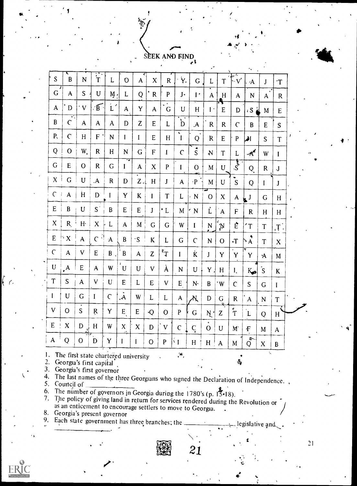## SEEK AND FIND

 $\bullet$  . The set of  $\bullet$ 

|                           |                                                                   |                           |                           |                  |                  |                           |                  |                      |                              |                          |                           |              |                          | ٠.                        |                    |                                              |  |  |   |
|---------------------------|-------------------------------------------------------------------|---------------------------|---------------------------|------------------|------------------|---------------------------|------------------|----------------------|------------------------------|--------------------------|---------------------------|--------------|--------------------------|---------------------------|--------------------|----------------------------------------------|--|--|---|
| S                         | $\mathbf B$                                                       | ${\bf N}$                 | $\ddot{\tilde{\text{T}}}$ | L                | $\mathbf O$      | $\mathbf{A}$              | $\mathbf X$      | $\mathbf R$          | Ÿ.                           | $\mathbf G$              | L                         | T            | $\cdot$ V'               | $\Delta$                  | $\mathbf{J}$       | $\mathbf{T}$                                 |  |  |   |
| $\mathsf G$               | $\mathbf{A}$                                                      | S                         | $\mathbf U$               | $M$ .            | L                | Q                         | $^{\circ}$ R     | $\mathbf{P}$         | $J -$                        | $\mathbf{I}$             | $\mathbf{A}$              | H<br>Ą,      | $\mathbf{A}$             | ${\bf N}$                 | $\mathbf{A}$       | $\mathsf{R}$                                 |  |  |   |
| $\mathbf{A}$              | $\mathbf{D}$                                                      | $\cdot$ V                 | B                         | $L$ <sup>-</sup> | $\mathbf{A}$     | Y                         | $\mathbf{A}$     | $\sqrt{\frac{1}{G}}$ | U                            | H                        | $\mathbf{I}$ .            | $\mathbf E$  | D                        | ان S ،                    | M                  | E                                            |  |  |   |
| B                         | र्ग<br>$\overline{C}$                                             | $\mathbf{A}$              | $\mathbf{A}$              | $\mathbf{A}$     | D                | $\mathbf{Z}$              | ${\bf E}$        | $\mathbf{L}$         | $\sum_{i=1}^{n}$             | $\mathbf{A}$             | ${\sf R}$                 | $\mathbf R$  | $\mathsf{C}$             | B                         | $\mathsf E$        | S                                            |  |  |   |
| $P_{\rm v}$               | $\overline{C}$                                                    | H                         | $\mathsf F$ '             | $\mathbf N$      | $\mathbf{I}$     | $\mathbf I$               | ${\bf E}$        | H                    | $\mathbf{v}$<br>$\mathbf{I}$ | Q                        | $\mathsf{R}$              | ${\sf E}$    | $\mathbf{P}$             | اها                       | S                  | T                                            |  |  |   |
| Q                         | $\mathbf{O}$                                                      | W.                        | $\mathsf{R}$              | H                | ${\bf N}$        | G                         | $\mathsf F$      | T                    | $\overline{C}$               | $\dot{s}$                | ${\bf N}$                 | $\mathbf T$  | L                        | $\boldsymbol{A}^{\prime}$ | W                  | $\mathbf{I}$                                 |  |  |   |
| G.                        | ${\bf E}$                                                         | $\mathbf{O}$              | $\mathbf R$               | $\mathsf G$      | $\mathbf{I}$     | $\boldsymbol{\mathsf{A}}$ | $\mathbf X$      | ${\bf P}$            | $\mathbf{I}$                 | $\overline{O}$           | M                         | U            | $\overline{\mathcal{S}}$ | Q                         | ${\bf R}$          | $\bf J$                                      |  |  |   |
| X                         | $\overline{G}$                                                    | $\mathbf U$               | $\mathbf A$               | ${\bf R}$        | D                | $Z_{\cdot}$               | $\, {\rm H}$     | $\bf J$              | $\mathbf{A}$                 | $\cdot \mathbf{P}$       | M                         | $\mathbf U$  | S                        | Q                         | I                  | J                                            |  |  |   |
| $\mathcal{C}$             | $\mathbf{A}$                                                      | H                         | $\mathbf D$               | I                | Y                | K                         | $\mathbf I$      | T                    | L                            | N                        | $\mathbf{O}$              | $\mathbf X$  | $\mathbf{A}$             | $\mathbf{L}^{\mathrm{J}}$ | ${\bf G}$          | H                                            |  |  |   |
| ${\sf E}$                 | $\, {\bf B}$                                                      | $\mathbf U$               | $\mathsf{S}^+$            | $\mathbf B$      | ${\sf E}$        | $\mathsf E$               | $\mathbf{J}$     | $^{\bullet}$ L       | M                            | $\mathbf N$              | Ļ                         | $\mathbf{A}$ | $\mathsf F$              | $\mathbf R$               | H                  | H                                            |  |  |   |
| $\boldsymbol{\mathsf{X}}$ | $R_{i}$                                                           | H <sub>1</sub>            | $\mathbf{X}$              | $\mathbf L$      | $\mathbf{A}$     | $\mathbf M$               | ${\bf G}$        | $\mathsf G$          | W                            | $\mathbf{I}$             | N                         | 'N           | Ė                        | $T^{\prime}$              | T                  | $\lceil \mathop{\mathrm{T}}\nolimits \rceil$ |  |  |   |
| ${\sf E}$                 | $\mathbin{\overset{\text{\tiny{A}}}{\cdot}} X$                    | $\mathbf A$               | $\mathsf{C}$<br>$\Delta$  | $\mathbf A$      | B                | $\cdot$ S                 | $\rm K$          | $\mathbf L$          | $\mathsf G$                  | $\mathcal{C}$            | $\mathbf N$               | $\mathbf O$  | $\cdot$ T                | $\overrightarrow{A}$      | T                  | $\boldsymbol{X}$                             |  |  |   |
| $\mathsf C$               | $\mathbf{A}$                                                      | $\sqrt{ }$                | ${\sf E}$                 | $\mathbf{B}$     | $\, {\bf B}$     | $\mathbf{A}$              | $\boldsymbol{Z}$ | $\mathbf{r}^*$       | $\mathbf I$                  | Ķ                        | J                         | Y            | Y                        | Y                         | $\mathbf A$        | M                                            |  |  |   |
| ${\bf U}$                 | $\cdot^{\mathsf{A}}$                                              | ${\bf E}$                 | $\mathbf{A}$              | W                | $\mathbf U$      | $\mathbf U$               | $\mathbf V$      | $\lambda$            | ${\bf N}$                    | U                        | Y                         | H            | $\mathbf{I}_{\bullet}$   | $K_{\bullet}$             | $\mathbf{\dot{S}}$ | K                                            |  |  |   |
| T                         | ${\sf S}$                                                         | $\boldsymbol{\mathsf{A}}$ | V                         | $\mathbf U$      | ${\sf E}$        | L                         | ${\bf E}$        | $\mathbf V$          | $E_{1}$                      | N                        | B                         | W            | $\mathbf C$              | ${\sf S}$                 | $\mathsf G$        | $\bf{I}$                                     |  |  |   |
| $\bf{l}$                  | $\mathbf U$                                                       | G                         | $\mathbf I$               | $\mathsf{C}$     | A.               | W                         | L                | L                    | $\mathbf{A}$                 | Yť                       | D                         | $\mathsf G$  | $\mathbf R$              | $\mathbf{A}$              | ${\bf N}$          | T                                            |  |  |   |
| V                         | $\mathbf{O}$                                                      | S                         | ${\sf R}$                 | Y                | E                | ${\sf E}$                 | $\cdot Q$        | $\mathbf{O}$         | ${\bf P}$                    | $\mathsf G$              | $N$ $\vert$               | ଛ<br>Z       | T                        | $\overline{L}$            | Q                  | H                                            |  |  |   |
| ${\bf E}$                 | $\mathbf X$                                                       | D                         | H                         | W                | $\boldsymbol{X}$ | X                         | $\mathbf{D}$     | ${\bf V}$            | $\mathbf C$                  | $\mathcal{C}_{\epsilon}$ | $\bullet$<br>$\mathbf{O}$ | $\mathbf U$  | M                        | $\bf{F}$                  | $\mathbf M$        | $\mathbf{A}$                                 |  |  | ٩ |
| $\mathbf{A}$              | Q                                                                 | $\mathbf{O}$              | D                         | $\mathbf Y$      | $\mathbf I$      | $\bf{l}$                  | $\mathbf{O}$     | ${\bf P}$            | ĔГ                           | H                        | H                         | $\mathbf{A}$ | M                        | $\mathbf{v}$<br>Q         | $\mathbf X$        | $\, {\bf B}$                                 |  |  |   |
| $\mathcal{P}$             | 1. The first state chartered university<br>George's first sonital |                           |                           |                  |                  |                           |                  |                      | $\omega_{\rm s}$             |                          |                           |              | ۰<br>$\mathbf{d}$        |                           | $\mathbf{\hat{z}}$ |                                              |  |  |   |

2. Georgia's first capital

3. Georgia's first governor

4. The last names of the three Georgians who signed the Declaration of Independence. , 5. Council of

6. The number of governors in Georgia during the 1780's (p. 15.18).

7. The policy of giving land in return for services rendered during the Revolution or as an enticement to encourage settlers to move to Georgia. . .

21

9. Each state government has three branches; the \_\_\_\_\_\_\_\_\_\_\_\_\_\_\_\_, legislative and



 $\lfloor \int f \rfloor$